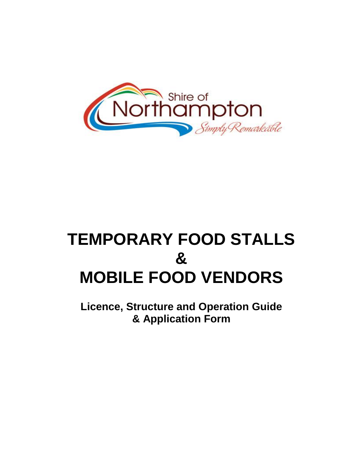

# **TEMPORARY FOOD STALLS & MOBILE FOOD VENDORS**

**Licence, Structure and Operation Guide & Application Form**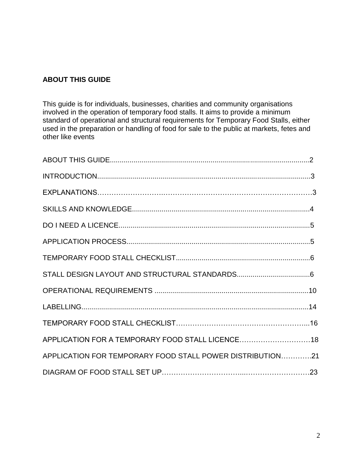# **ABOUT THIS GUIDE**

This guide is for individuals, businesses, charities and community organisations involved in the operation of temporary food stalls. It aims to provide a minimum standard of operational and structural requirements for Temporary Food Stalls, either used in the preparation or handling of food for sale to the public at markets, fetes and other like events

| APPLICATION FOR A TEMPORARY FOOD STALL LICENCE 18         |  |
|-----------------------------------------------------------|--|
| APPLICATION FOR TEMPORARY FOOD STALL POWER DISTRIBUTION21 |  |
|                                                           |  |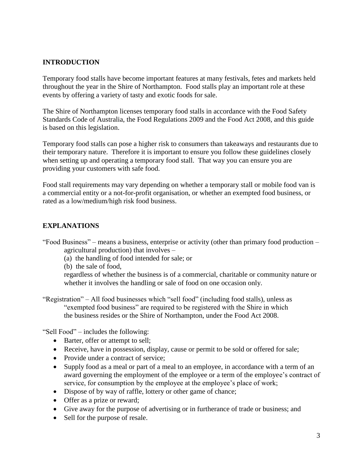#### **INTRODUCTION**

Temporary food stalls have become important features at many festivals, fetes and markets held throughout the year in the Shire of Northampton. Food stalls play an important role at these events by offering a variety of tasty and exotic foods for sale.

The Shire of Northampton licenses temporary food stalls in accordance with the Food Safety Standards Code of Australia, the Food Regulations 2009 and the Food Act 2008, and this guide is based on this legislation.

Temporary food stalls can pose a higher risk to consumers than takeaways and restaurants due to their temporary nature. Therefore it is important to ensure you follow these guidelines closely when setting up and operating a temporary food stall. That way you can ensure you are providing your customers with safe food.

Food stall requirements may vary depending on whether a temporary stall or mobile food van is a commercial entity or a not-for-profit organisation, or whether an exempted food business, or rated as a low/medium/high risk food business.

## **EXPLANATIONS**

- "Food Business" means a business, enterprise or activity (other than primary food production agricultural production) that involves –
	- (a) the handling of food intended for sale; or
	- (b) the sale of food,

regardless of whether the business is of a commercial, charitable or community nature or whether it involves the handling or sale of food on one occasion only.

"Registration" – All food businesses which "sell food" (including food stalls), unless as "exempted food business" are required to be registered with the Shire in which the business resides or the Shire of Northampton, under the Food Act 2008.

"Sell Food" – includes the following:

- Barter, offer or attempt to sell;
- Receive, have in possession, display, cause or permit to be sold or offered for sale;
- Provide under a contract of service;
- Supply food as a meal or part of a meal to an employee, in accordance with a term of an award governing the employment of the employee or a term of the employee's contract of service, for consumption by the employee at the employee's place of work;
- Dispose of by way of raffle, lottery or other game of chance;
- Offer as a prize or reward;
- Give away for the purpose of advertising or in furtherance of trade or business; and
- Sell for the purpose of resale.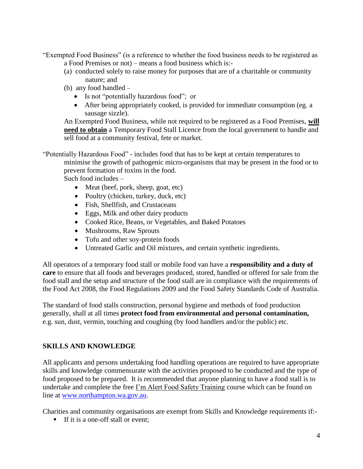"Exempted Food Business" (is a reference to whether the food business needs to be registered as a Food Premises or not) – means a food business which is:-

- (a) conducted solely to raise money for purposes that are of a charitable or community nature; and
- (b) any food handled
	- Is not "potentially hazardous food"; or
	- After being appropriately cooked, is provided for immediate consumption (eg. a sausage sizzle).

An Exempted Food Business, while not required to be registered as a Food Premises, **will need to obtain** a Temporary Food Stall Licence from the local government to handle and sell food at a community festival, fete or market.

"Potentially Hazardous Food" - includes food that has to be kept at certain temperatures to

minimise the growth of pathogenic micro-organisms that may be present in the food or to prevent formation of toxins in the food.

Such food includes –

- Meat (beef, pork, sheep, goat, etc)
- Poultry (chicken, turkey, duck, etc)
- Fish, Shellfish, and Crustaceans
- Eggs, Milk and other dairy products
- Cooked Rice, Beans, or Vegetables, and Baked Potatoes
- Mushrooms, Raw Sprouts
- Tofu and other soy-protein foods
- Untreated Garlic and Oil mixtures, and certain synthetic ingredients.

All operators of a temporary food stall or mobile food van have a **responsibility and a duty of care** to ensure that all foods and beverages produced, stored, handled or offered for sale from the food stall and the setup and structure of the food stall are in compliance with the requirements of the Food Act 2008, the Food Regulations 2009 and the Food Safety Standards Code of Australia.

The standard of food stalls construction, personal hygiene and methods of food production generally, shall at all times **protect food from environmental and personal contamination,** e.g. sun, dust, vermin, touching and coughing (by food handlers and/or the public) etc.

## **SKILLS AND KNOWLEDGE**

All applicants and persons undertaking food handling operations are required to have appropriate skills and knowledge commensurate with the activities proposed to be conducted and the type of food proposed to be prepared. It is recommended that anyone planning to have a food stall is to undertake and complete the free I'm Alert Food Safety Training course which can be found on line at [www.northampton.wa.gov.au.](http://www.northampton.wa.gov.au/)

Charities and community organisations are exempt from Skills and Knowledge requirements if:-

**If it is a one-off stall or event;**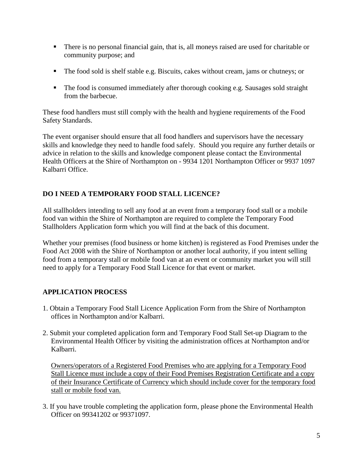- **•** There is no personal financial gain, that is, all moneys raised are used for charitable or community purpose; and
- The food sold is shelf stable e.g. Biscuits, cakes without cream, jams or chutneys; or
- The food is consumed immediately after thorough cooking e.g. Sausages sold straight from the barbecue.

These food handlers must still comply with the health and hygiene requirements of the Food Safety Standards.

The event organiser should ensure that all food handlers and supervisors have the necessary skills and knowledge they need to handle food safely. Should you require any further details or advice in relation to the skills and knowledge component please contact the Environmental Health Officers at the Shire of Northampton on - 9934 1201 Northampton Officer or 9937 1097 Kalbarri Office.

# **DO I NEED A TEMPORARY FOOD STALL LICENCE?**

All stallholders intending to sell any food at an event from a temporary food stall or a mobile food van within the Shire of Northampton are required to complete the Temporary Food Stallholders Application form which you will find at the back of this document.

Whether your premises (food business or home kitchen) is registered as Food Premises under the Food Act 2008 with the Shire of Northampton or another local authority, if you intent selling food from a temporary stall or mobile food van at an event or community market you will still need to apply for a Temporary Food Stall Licence for that event or market.

# **APPLICATION PROCESS**

- 1. Obtain a Temporary Food Stall Licence Application Form from the Shire of Northampton offices in Northampton and/or Kalbarri.
- 2. Submit your completed application form and Temporary Food Stall Set-up Diagram to the Environmental Health Officer by visiting the administration offices at Northampton and/or Kalbarri.

Owners/operators of a Registered Food Premises who are applying for a Temporary Food Stall Licence must include a copy of their Food Premises Registration Certificate and a copy of their Insurance Certificate of Currency which should include cover for the temporary food stall or mobile food van.

3. If you have trouble completing the application form, please phone the Environmental Health Officer on 99341202 or 99371097.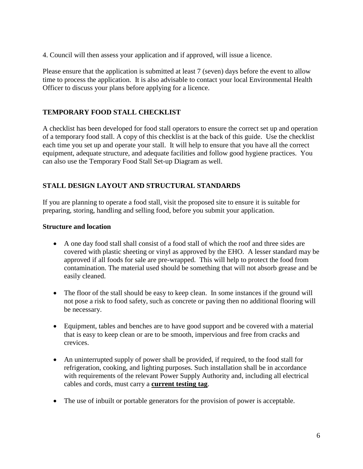4. Council will then assess your application and if approved, will issue a licence.

Please ensure that the application is submitted at least 7 (seven) days before the event to allow time to process the application. It is also advisable to contact your local Environmental Health Officer to discuss your plans before applying for a licence.

## **TEMPORARY FOOD STALL CHECKLIST**

A checklist has been developed for food stall operators to ensure the correct set up and operation of a temporary food stall. A copy of this checklist is at the back of this guide. Use the checklist each time you set up and operate your stall. It will help to ensure that you have all the correct equipment, adequate structure, and adequate facilities and follow good hygiene practices. You can also use the Temporary Food Stall Set-up Diagram as well.

#### **STALL DESIGN LAYOUT AND STRUCTURAL STANDARDS**

If you are planning to operate a food stall, visit the proposed site to ensure it is suitable for preparing, storing, handling and selling food, before you submit your application.

#### **Structure and location**

- A one day food stall shall consist of a food stall of which the roof and three sides are covered with plastic sheeting or vinyl as approved by the EHO. A lesser standard may be approved if all foods for sale are pre-wrapped. This will help to protect the food from contamination. The material used should be something that will not absorb grease and be easily cleaned.
- The floor of the stall should be easy to keep clean. In some instances if the ground will not pose a risk to food safety, such as concrete or paving then no additional flooring will be necessary.
- Equipment, tables and benches are to have good support and be covered with a material that is easy to keep clean or are to be smooth, impervious and free from cracks and crevices.
- An uninterrupted supply of power shall be provided, if required, to the food stall for refrigeration, cooking, and lighting purposes. Such installation shall be in accordance with requirements of the relevant Power Supply Authority and, including all electrical cables and cords, must carry a **current testing tag**.
- The use of inbuilt or portable generators for the provision of power is acceptable.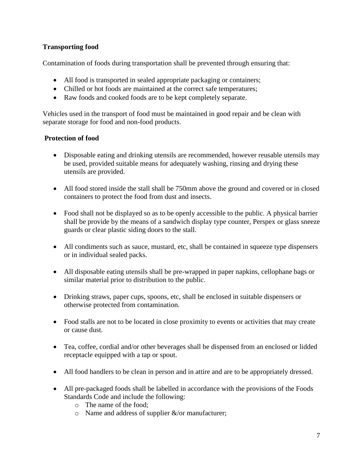### **Transporting food**

Contamination of foods during transportation shall be prevented through ensuring that:

- All food is transported in sealed appropriate packaging or containers;
- Chilled or hot foods are maintained at the correct safe temperatures;
- Raw foods and cooked foods are to be kept completely separate.

Vehicles used in the transport of food must be maintained in good repair and be clean with separate storage for food and non-food products.

#### **Protection of food**

- Disposable eating and drinking utensils are recommended, however reusable utensils may be used, provided suitable means for adequately washing, rinsing and drying these utensils are provided.
- All food stored inside the stall shall be 750mm above the ground and covered or in closed containers to protect the food from dust and insects.
- Food shall not be displayed so as to be openly accessible to the public. A physical barrier shall be provide by the means of a sandwich display type counter, Perspex or glass sneeze guards or clear plastic siding doors to the stall.
- All condiments such as sauce, mustard, etc, shall be contained in squeeze type dispensers or in individual sealed packs.
- All disposable eating utensils shall be pre-wrapped in paper napkins, cellophane bags or similar material prior to distribution to the public.
- Drinking straws, paper cups, spoons, etc, shall be enclosed in suitable dispensers or otherwise protected from contamination.
- Food stalls are not to be located in close proximity to events or activities that may create or cause dust.
- Tea, coffee, cordial and/or other beverages shall be dispensed from an enclosed or lidded receptacle equipped with a tap or spout.
- All food handlers to be clean in person and in attire and are to be appropriately dressed.
- All pre-packaged foods shall be labelled in accordance with the provisions of the Foods Standards Code and include the following:
	- o The name of the food;
	- $\circ$  Name and address of supplier &/or manufacturer;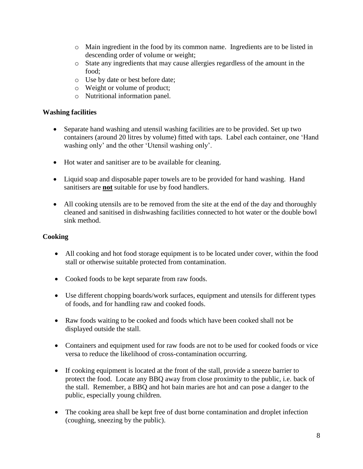- o Main ingredient in the food by its common name. Ingredients are to be listed in descending order of volume or weight;
- o State any ingredients that may cause allergies regardless of the amount in the food;
- o Use by date or best before date;
- o Weight or volume of product;
- o Nutritional information panel.

#### **Washing facilities**

- Separate hand washing and utensil washing facilities are to be provided. Set up two containers (around 20 litres by volume) fitted with taps. Label each container, one 'Hand washing only' and the other 'Utensil washing only'.
- Hot water and sanitiser are to be available for cleaning.
- Liquid soap and disposable paper towels are to be provided for hand washing. Hand sanitisers are **not** suitable for use by food handlers.
- All cooking utensils are to be removed from the site at the end of the day and thoroughly cleaned and sanitised in dishwashing facilities connected to hot water or the double bowl sink method.

### **Cooking**

- All cooking and hot food storage equipment is to be located under cover, within the food stall or otherwise suitable protected from contamination.
- Cooked foods to be kept separate from raw foods.
- Use different chopping boards/work surfaces, equipment and utensils for different types of foods, and for handling raw and cooked foods.
- Raw foods waiting to be cooked and foods which have been cooked shall not be displayed outside the stall.
- Containers and equipment used for raw foods are not to be used for cooked foods or vice versa to reduce the likelihood of cross-contamination occurring.
- If cooking equipment is located at the front of the stall, provide a sneeze barrier to protect the food. Locate any BBQ away from close proximity to the public, i.e. back of the stall. Remember, a BBQ and hot bain maries are hot and can pose a danger to the public, especially young children.
- The cooking area shall be kept free of dust borne contamination and droplet infection (coughing, sneezing by the public).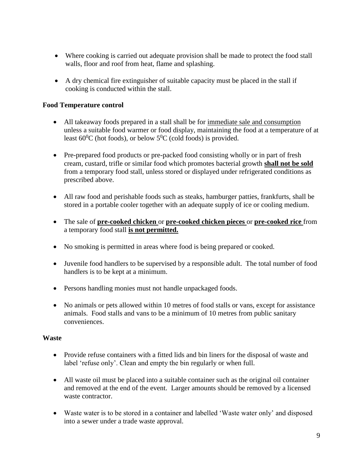- Where cooking is carried out adequate provision shall be made to protect the food stall walls, floor and roof from heat, flame and splashing.
- A dry chemical fire extinguisher of suitable capacity must be placed in the stall if cooking is conducted within the stall.

#### **Food Temperature control**

- All takeaway foods prepared in a stall shall be for immediate sale and consumption unless a suitable food warmer or food display, maintaining the food at a temperature of at least  $60^{\circ}$ C (hot foods), or below  $5^{\circ}$ C (cold foods) is provided.
- Pre-prepared food products or pre-packed food consisting wholly or in part of fresh cream, custard, trifle or similar food which promotes bacterial growth **shall not be sold** from a temporary food stall, unless stored or displayed under refrigerated conditions as prescribed above.
- All raw food and perishable foods such as steaks, hamburger patties, frankfurts, shall be stored in a portable cooler together with an adequate supply of ice or cooling medium.
- The sale of **pre-cooked chicken** or **pre-cooked chicken pieces** or **pre-cooked rice** from a temporary food stall **is not permitted.**
- No smoking is permitted in areas where food is being prepared or cooked.
- Juvenile food handlers to be supervised by a responsible adult. The total number of food handlers is to be kept at a minimum.
- Persons handling monies must not handle unpackaged foods.
- No animals or pets allowed within 10 metres of food stalls or vans, except for assistance animals. Food stalls and vans to be a minimum of 10 metres from public sanitary conveniences.

#### **Waste**

- Provide refuse containers with a fitted lids and bin liners for the disposal of waste and label 'refuse only'. Clean and empty the bin regularly or when full.
- All waste oil must be placed into a suitable container such as the original oil container and removed at the end of the event. Larger amounts should be removed by a licensed waste contractor.
- Waste water is to be stored in a container and labelled 'Waste water only' and disposed into a sewer under a trade waste approval.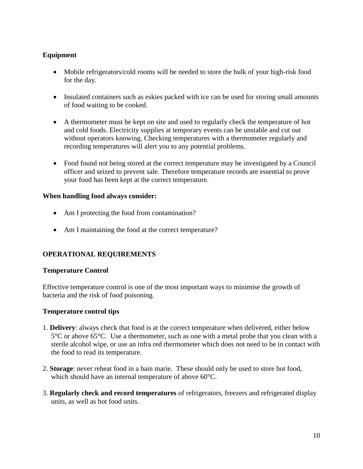#### **Equipment**

- Mobile refrigerators/cold rooms will be needed to store the bulk of your high-risk food for the day.
- Insulated containers such as eskies packed with ice can be used for storing small amounts of food waiting to be cooked.
- A thermometer must be kept on site and used to regularly check the temperature of hot and cold foods. Electricity supplies at temporary events can be unstable and cut out without operators knowing. Checking temperatures with a thermometer regularly and recording temperatures will alert you to any potential problems.
- Food found not being stored at the correct temperature may be investigated by a Council officer and seized to prevent sale. Therefore temperature records are essential to prove your food has been kept at the correct temperature.

#### **When handling food always consider:**

- Am I protecting the food from contamination?
- Am I maintaining the food at the correct temperature?

#### **OPERATIONAL REQUIREMENTS**

#### **Temperature Control**

Effective temperature control is one of the most important ways to minimise the growth of bacteria and the risk of food poisoning.

#### **Temperature control tips**

- 1. **Delivery**: always check that food is at the correct temperature when delivered, either below 5°C or above 65°C. Use a thermometer, such as one with a metal probe that you clean with a sterile alcohol wipe, or use an infra red thermometer which does not need to be in contact with the food to read its temperature.
- 2. **Storage**: never reheat food in a bain marie. These should only be used to store hot food, which should have an internal temperature of above 60°C.
- 3. **Regularly check and record temperatures** of refrigerators, freezers and refrigerated display units, as well as hot food units.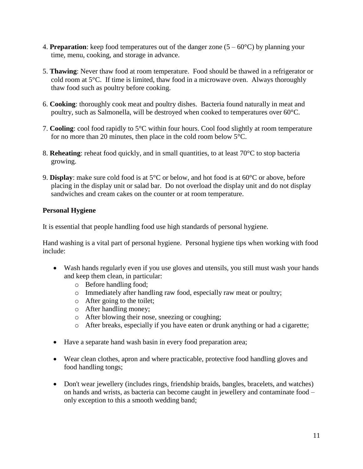- 4. **Preparation**: keep food temperatures out of the danger zone (5 60°C) by planning your time, menu, cooking, and storage in advance.
- 5. **Thawing**: Never thaw food at room temperature. Food should be thawed in a refrigerator or cold room at 5°C. If time is limited, thaw food in a microwave oven. Always thoroughly thaw food such as poultry before cooking.
- 6. **Cooking**: thoroughly cook meat and poultry dishes. Bacteria found naturally in meat and poultry, such as Salmonella, will be destroyed when cooked to temperatures over 60°C.
- 7. **Cooling**: cool food rapidly to 5°C within four hours. Cool food slightly at room temperature for no more than 20 minutes, then place in the cold room below 5°C.
- 8. **Reheating**: reheat food quickly, and in small quantities, to at least 70°C to stop bacteria growing.
- 9. **Display**: make sure cold food is at 5°C or below, and hot food is at 60°C or above, before placing in the display unit or salad bar. Do not overload the display unit and do not display sandwiches and cream cakes on the counter or at room temperature.

#### **Personal Hygiene**

It is essential that people handling food use high standards of personal hygiene.

Hand washing is a vital part of personal hygiene. Personal hygiene tips when working with food include:

- Wash hands regularly even if you use gloves and utensils, you still must wash your hands and keep them clean, in particular:
	- o Before handling food;
	- o Immediately after handling raw food, especially raw meat or poultry;
	- o After going to the toilet;
	- o After handling money;
	- o After blowing their nose, sneezing or coughing;
	- o After breaks, especially if you have eaten or drunk anything or had a cigarette;
- Have a separate hand wash basin in every food preparation area;
- Wear clean clothes, apron and where practicable, protective food handling gloves and food handling tongs;
- Don't wear jewellery (includes rings, friendship braids, bangles, bracelets, and watches) on hands and wrists, as bacteria can become caught in jewellery and contaminate food – only exception to this a smooth wedding band;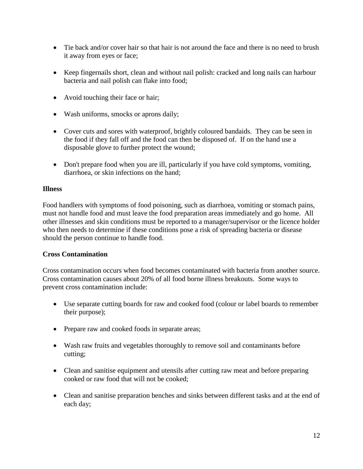- Tie back and/or cover hair so that hair is not around the face and there is no need to brush it away from eyes or face;
- Keep fingernails short, clean and without nail polish: cracked and long nails can harbour bacteria and nail polish can flake into food;
- Avoid touching their face or hair;
- Wash uniforms, smocks or aprons daily;
- Cover cuts and sores with waterproof, brightly coloured bandaids. They can be seen in the food if they fall off and the food can then be disposed of. If on the hand use a disposable glove to further protect the wound;
- Don't prepare food when you are ill, particularly if you have cold symptoms, vomiting, diarrhoea, or skin infections on the hand;

#### **Illness**

Food handlers with symptoms of food poisoning, such as diarrhoea, vomiting or stomach pains, must not handle food and must leave the food preparation areas immediately and go home. All other illnesses and skin conditions must be reported to a manager/supervisor or the licence holder who then needs to determine if these conditions pose a risk of spreading bacteria or disease should the person continue to handle food.

#### **Cross Contamination**

Cross contamination occurs when food becomes contaminated with bacteria from another source. Cross contamination causes about 20% of all food borne illness breakouts. Some ways to prevent cross contamination include:

- Use separate cutting boards for raw and cooked food (colour or label boards to remember their purpose);
- Prepare raw and cooked foods in separate areas;
- Wash raw fruits and vegetables thoroughly to remove soil and contaminants before cutting;
- Clean and sanitise equipment and utensils after cutting raw meat and before preparing cooked or raw food that will not be cooked;
- Clean and sanitise preparation benches and sinks between different tasks and at the end of each day;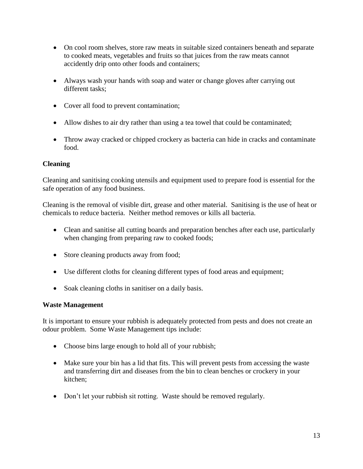- On cool room shelves, store raw meats in suitable sized containers beneath and separate to cooked meats, vegetables and fruits so that juices from the raw meats cannot accidently drip onto other foods and containers;
- Always wash your hands with soap and water or change gloves after carrying out different tasks;
- Cover all food to prevent contamination;
- Allow dishes to air dry rather than using a tea towel that could be contaminated;
- Throw away cracked or chipped crockery as bacteria can hide in cracks and contaminate food.

#### **Cleaning**

Cleaning and sanitising cooking utensils and equipment used to prepare food is essential for the safe operation of any food business.

Cleaning is the removal of visible dirt, grease and other material. Sanitising is the use of heat or chemicals to reduce bacteria. Neither method removes or kills all bacteria.

- Clean and sanitise all cutting boards and preparation benches after each use, particularly when changing from preparing raw to cooked foods;
- Store cleaning products away from food;
- Use different cloths for cleaning different types of food areas and equipment;
- Soak cleaning cloths in sanitiser on a daily basis.

#### **Waste Management**

It is important to ensure your rubbish is adequately protected from pests and does not create an odour problem. Some Waste Management tips include:

- Choose bins large enough to hold all of your rubbish;
- Make sure your bin has a lid that fits. This will prevent pests from accessing the waste and transferring dirt and diseases from the bin to clean benches or crockery in your kitchen;
- Don't let your rubbish sit rotting. Waste should be removed regularly.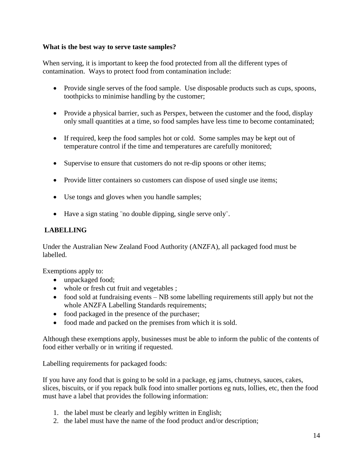#### **What is the best way to serve taste samples?**

When serving, it is important to keep the food protected from all the different types of contamination. Ways to protect food from contamination include:

- Provide single serves of the food sample. Use disposable products such as cups, spoons, toothpicks to minimise handling by the customer;
- Provide a physical barrier, such as Perspex, between the customer and the food, display only small quantities at a time, so food samples have less time to become contaminated;
- If required, keep the food samples hot or cold. Some samples may be kept out of temperature control if the time and temperatures are carefully monitored;
- Supervise to ensure that customers do not re-dip spoons or other items;
- Provide litter containers so customers can dispose of used single use items;
- Use tongs and gloves when you handle samples;
- Have a sign stating "no double dipping, single serve only".

#### **LABELLING**

Under the Australian New Zealand Food Authority (ANZFA), all packaged food must be labelled.

Exemptions apply to:

- unpackaged food;
- whole or fresh cut fruit and vegetables;
- food sold at fundraising events NB some labelling requirements still apply but not the whole ANZFA Labelling Standards requirements;
- food packaged in the presence of the purchaser;
- food made and packed on the premises from which it is sold.

Although these exemptions apply, businesses must be able to inform the public of the contents of food either verbally or in writing if requested.

Labelling requirements for packaged foods:

If you have any food that is going to be sold in a package, eg jams, chutneys, sauces, cakes, slices, biscuits, or if you repack bulk food into smaller portions eg nuts, lollies, etc, then the food must have a label that provides the following information:

- 1. the label must be clearly and legibly written in English;
- 2. the label must have the name of the food product and/or description;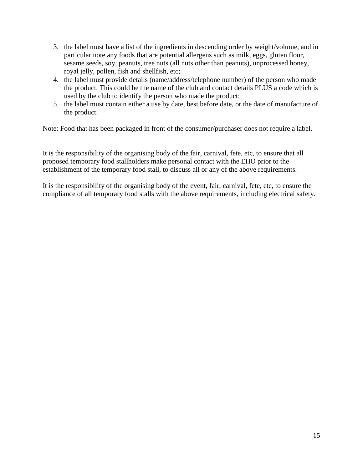- 3. the label must have a list of the ingredients in descending order by weight/volume, and in particular note any foods that are potential allergens such as milk, eggs, gluten flour, sesame seeds, soy, peanuts, tree nuts (all nuts other than peanuts), unprocessed honey, royal jelly, pollen, fish and shellfish, etc;
- 4. the label must provide details (name/address/telephone number) of the person who made the product. This could be the name of the club and contact details PLUS a code which is used by the club to identify the person who made the product;
- 5. the label must contain either a use by date, best before date, or the date of manufacture of the product.

Note: Food that has been packaged in front of the consumer/purchaser does not require a label.

It is the responsibility of the organising body of the fair, carnival, fete, etc, to ensure that all proposed temporary food stallholders make personal contact with the EHO prior to the establishment of the temporary food stall, to discuss all or any of the above requirements.

It is the responsibility of the organising body of the event, fair, carnival, fete, etc, to ensure the compliance of all temporary food stalls with the above requirements, including electrical safety.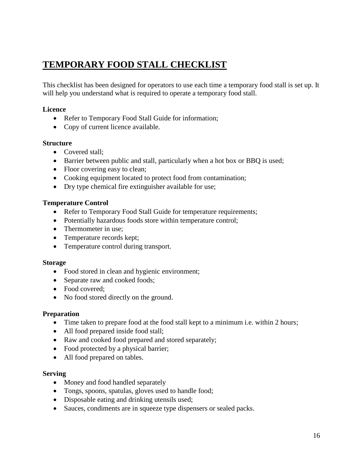# **TEMPORARY FOOD STALL CHECKLIST**

This checklist has been designed for operators to use each time a temporary food stall is set up. It will help you understand what is required to operate a temporary food stall.

#### **Licence**

- Refer to Temporary Food Stall Guide for information;
- Copy of current licence available.

#### **Structure**

- Covered stall:
- Barrier between public and stall, particularly when a hot box or BBQ is used;
- Floor covering easy to clean;
- Cooking equipment located to protect food from contamination;
- Dry type chemical fire extinguisher available for use;

#### **Temperature Control**

- Refer to Temporary Food Stall Guide for temperature requirements;
- Potentially hazardous foods store within temperature control;
- Thermometer in use;
- Temperature records kept;
- Temperature control during transport.

#### **Storage**

- Food stored in clean and hygienic environment;
- Separate raw and cooked foods;
- Food covered:
- No food stored directly on the ground.

#### **Preparation**

- Time taken to prepare food at the food stall kept to a minimum i.e. within 2 hours;
- All food prepared inside food stall;
- Raw and cooked food prepared and stored separately;
- Food protected by a physical barrier;
- All food prepared on tables.

#### **Serving**

- Money and food handled separately
- Tongs, spoons, spatulas, gloves used to handle food;
- Disposable eating and drinking utensils used;
- Sauces, condiments are in squeeze type dispensers or sealed packs.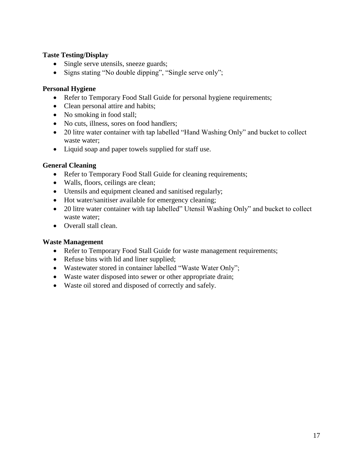#### **Taste Testing/Display**

- Single serve utensils, sneeze guards;
- Signs stating "No double dipping", "Single serve only";

#### **Personal Hygiene**

- Refer to Temporary Food Stall Guide for personal hygiene requirements;
- Clean personal attire and habits:
- No smoking in food stall;
- No cuts, illness, sores on food handlers;
- 20 litre water container with tap labelled "Hand Washing Only" and bucket to collect waste water;
- Liquid soap and paper towels supplied for staff use.

#### **General Cleaning**

- Refer to Temporary Food Stall Guide for cleaning requirements;
- Walls, floors, ceilings are clean;
- Utensils and equipment cleaned and sanitised regularly;
- Hot water/sanitiser available for emergency cleaning;
- 20 litre water container with tap labelled" Utensil Washing Only" and bucket to collect waste water;
- Overall stall clean.

#### **Waste Management**

- Refer to Temporary Food Stall Guide for waste management requirements;
- Refuse bins with lid and liner supplied;
- Wastewater stored in container labelled "Waste Water Only";
- Waste water disposed into sewer or other appropriate drain;
- Waste oil stored and disposed of correctly and safely.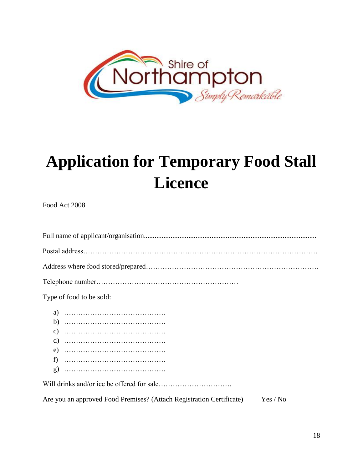

# **Application for Temporary Food Stall Licence**

Food Act 2008

| Type of food to be sold:                                                      |
|-------------------------------------------------------------------------------|
|                                                                               |
|                                                                               |
| Are you an approved Food Premises? (Attach Registration Certificate) Yes / No |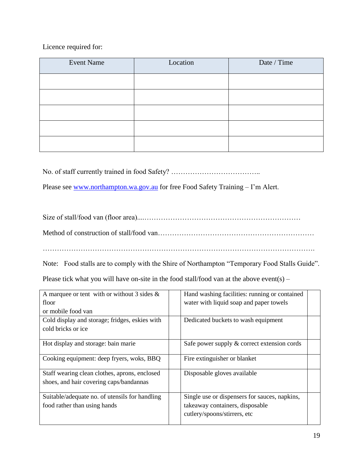Licence required for:

| <b>Event Name</b> | Location | Date / Time |
|-------------------|----------|-------------|
|                   |          |             |
|                   |          |             |
|                   |          |             |
|                   |          |             |
|                   |          |             |

No. of staff currently trained in food Safety? ………………………………..

Please see [www.northampton.wa.gov.au](http://www.northampton.wa.gov.au/) for free Food Safety Training – I'm Alert.

Size of stall/food van (floor area)....………………………………………………………… Method of construction of stall/food van………………………………………………………… …………………………………………………………………………………………………….

Note: Food stalls are to comply with the Shire of Northampton "Temporary Food Stalls Guide".

Please tick what you will have on-site in the food stall/food van at the above event(s) –

| A marquee or tent with or without 3 sides $\&$ | Hand washing facilities: running or contained  |
|------------------------------------------------|------------------------------------------------|
| floor                                          | water with liquid soap and paper towels        |
| or mobile food van                             |                                                |
| Cold display and storage; fridges, eskies with | Dedicated buckets to wash equipment            |
| cold bricks or ice                             |                                                |
| Hot display and storage: bain marie            | Safe power supply $\&$ correct extension cords |
| Cooking equipment: deep fryers, woks, BBQ      | Fire extinguisher or blanket                   |
| Staff wearing clean clothes, aprons, enclosed  | Disposable gloves available                    |
| shoes, and hair covering caps/bandannas        |                                                |
| Suitable/adequate no. of utensils for handling | Single use or dispensers for sauces, napkins,  |
| food rather than using hands                   | takeaway containers, disposable                |
|                                                | cutlery/spoons/stirrers, etc                   |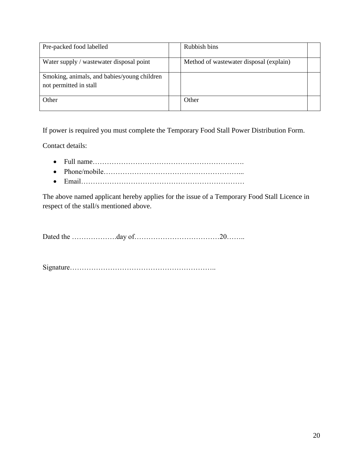| Pre-packed food labelled                                              | Rubbish bins                            |  |
|-----------------------------------------------------------------------|-----------------------------------------|--|
| Water supply / wastewater disposal point                              | Method of wastewater disposal (explain) |  |
| Smoking, animals, and babies/young children<br>not permitted in stall |                                         |  |
| Other                                                                 | Other                                   |  |

If power is required you must complete the Temporary Food Stall Power Distribution Form.

Contact details:

- Full name……………………………………………………….
- Phone/mobile…………………………………………………...
- Email……………………………………………………………

The above named applicant hereby applies for the issue of a Temporary Food Stall Licence in respect of the stall/s mentioned above.

Dated the ……………….day of………………………………20……..

Signature……………………………………………………..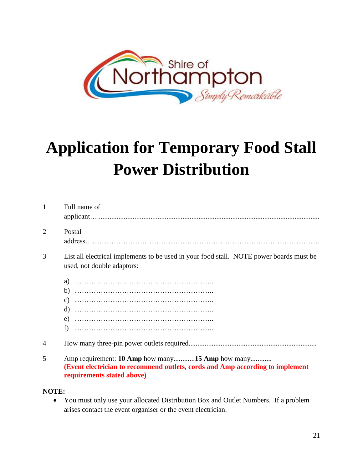

# **Application for Temporary Food Stall Power Distribution**

| $\mathbf{1}$                                         | Full name of                                                                                                                                                   |
|------------------------------------------------------|----------------------------------------------------------------------------------------------------------------------------------------------------------------|
| $\overline{2}$                                       | Postal                                                                                                                                                         |
| 3                                                    | List all electrical implements to be used in your food stall. NOTE power boards must be<br>used, not double adaptors:                                          |
|                                                      |                                                                                                                                                                |
| $\overline{4}$                                       |                                                                                                                                                                |
| 5                                                    | Amp requirement: 10 Amp how many15 Amp how many<br>(Event electrician to recommend outlets, cords and Amp according to implement<br>requirements stated above) |
| $\tau \wedge \tau \rightarrow \tau \rightarrow \tau$ |                                                                                                                                                                |

#### **NOTE:**

• You must only use your allocated Distribution Box and Outlet Numbers. If a problem arises contact the event organiser or the event electrician.